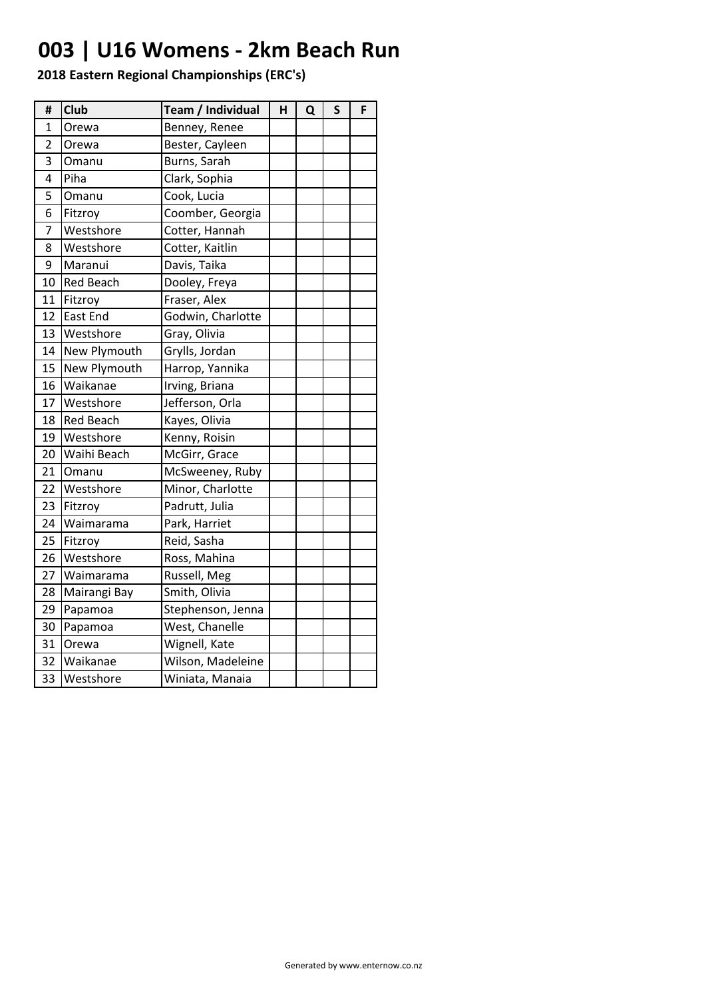## **003 | U16 Womens - 2km Beach Run**

| #              | <b>Club</b>                  | Team / Individual | н | Q | S | F |
|----------------|------------------------------|-------------------|---|---|---|---|
| 1              | Orewa                        | Benney, Renee     |   |   |   |   |
| $\overline{2}$ | Orewa                        | Bester, Cayleen   |   |   |   |   |
| 3              | Omanu                        | Burns, Sarah      |   |   |   |   |
| 4              | Piha                         | Clark, Sophia     |   |   |   |   |
| 5              | Omanu                        | Cook, Lucia       |   |   |   |   |
| 6              | Fitzroy                      | Coomber, Georgia  |   |   |   |   |
| 7              | Westshore                    | Cotter, Hannah    |   |   |   |   |
| 8              | Westshore                    | Cotter, Kaitlin   |   |   |   |   |
| 9              | Maranui                      | Davis, Taika      |   |   |   |   |
| 10             | <b>Red Beach</b>             | Dooley, Freya     |   |   |   |   |
| 11             | Fitzroy                      | Fraser, Alex      |   |   |   |   |
| 12             | East End                     | Godwin, Charlotte |   |   |   |   |
| 13             | Westshore                    | Gray, Olivia      |   |   |   |   |
| 14             | New Plymouth                 | Grylls, Jordan    |   |   |   |   |
| 15             | New Plymouth                 | Harrop, Yannika   |   |   |   |   |
| 16             | Irving, Briana<br>Waikanae   |                   |   |   |   |   |
| 17             | Westshore<br>Jefferson, Orla |                   |   |   |   |   |
| 18             | <b>Red Beach</b>             | Kayes, Olivia     |   |   |   |   |
| 19             | Westshore                    | Kenny, Roisin     |   |   |   |   |
| 20             | Waihi Beach                  | McGirr, Grace     |   |   |   |   |
| 21             | Omanu                        | McSweeney, Ruby   |   |   |   |   |
| 22             | Westshore                    | Minor, Charlotte  |   |   |   |   |
| 23             | Fitzroy                      | Padrutt, Julia    |   |   |   |   |
| 24             | Waimarama                    | Park, Harriet     |   |   |   |   |
| 25             | Fitzroy                      | Reid, Sasha       |   |   |   |   |
| 26             | Westshore                    | Ross, Mahina      |   |   |   |   |
| 27             | Waimarama                    | Russell, Meg      |   |   |   |   |
| 28             | Mairangi Bay                 | Smith, Olivia     |   |   |   |   |
| 29             | Papamoa                      | Stephenson, Jenna |   |   |   |   |
| 30             | Papamoa                      | West, Chanelle    |   |   |   |   |
| 31             | Orewa                        | Wignell, Kate     |   |   |   |   |
| 32             | Waikanae                     | Wilson, Madeleine |   |   |   |   |
| 33             | Westshore                    | Winiata, Manaia   |   |   |   |   |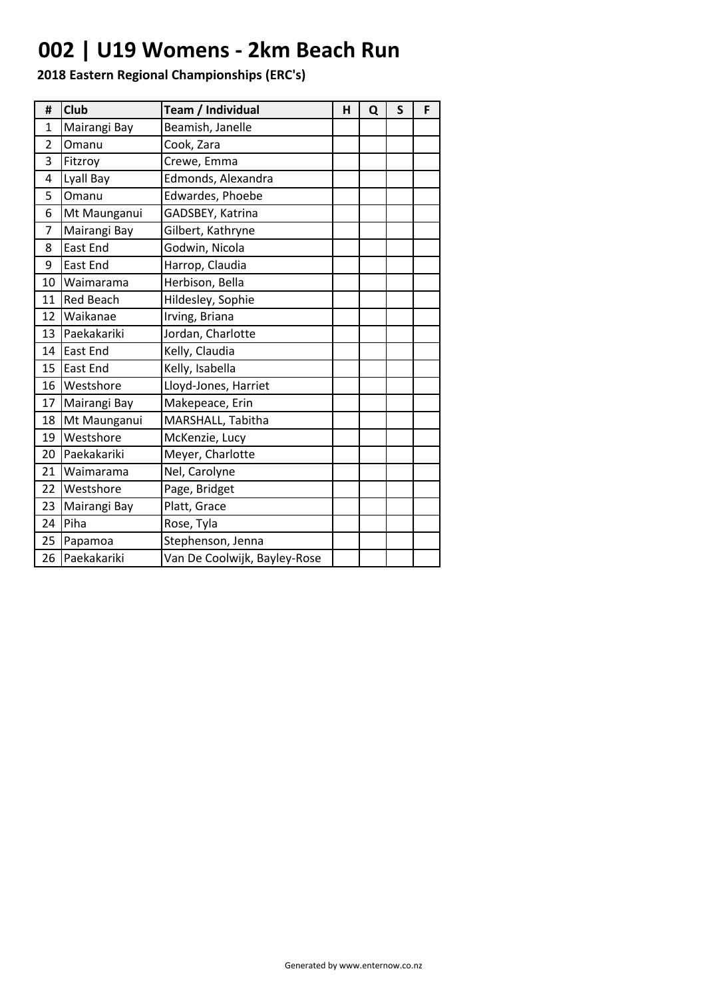## **002 | U19 Womens - 2km Beach Run**

| #              | Club             | Team / Individual            | н | Q | S | F |
|----------------|------------------|------------------------------|---|---|---|---|
| 1              | Mairangi Bay     | Beamish, Janelle             |   |   |   |   |
| $\overline{2}$ | Omanu            | Cook, Zara                   |   |   |   |   |
| 3              | Fitzroy          | Crewe, Emma                  |   |   |   |   |
| 4              | Lyall Bay        | Edmonds, Alexandra           |   |   |   |   |
| 5              | Omanu            | Edwardes, Phoebe             |   |   |   |   |
| 6              | Mt Maunganui     | GADSBEY, Katrina             |   |   |   |   |
| 7              | Mairangi Bay     | Gilbert, Kathryne            |   |   |   |   |
| 8              | East End         | Godwin, Nicola               |   |   |   |   |
| 9              | East End         | Harrop, Claudia              |   |   |   |   |
| 10             | Waimarama        | Herbison, Bella              |   |   |   |   |
| 11             | <b>Red Beach</b> | Hildesley, Sophie            |   |   |   |   |
| 12             | Waikanae         | Irving, Briana               |   |   |   |   |
| 13             | Paekakariki      | Jordan, Charlotte            |   |   |   |   |
| 14             | East End         | Kelly, Claudia               |   |   |   |   |
| 15             | East End         | Kelly, Isabella              |   |   |   |   |
| 16             | Westshore        | Lloyd-Jones, Harriet         |   |   |   |   |
| 17             | Mairangi Bay     | Makepeace, Erin              |   |   |   |   |
| 18             | Mt Maunganui     | MARSHALL, Tabitha            |   |   |   |   |
| 19             | Westshore        | McKenzie, Lucy               |   |   |   |   |
| 20             | Paekakariki      | Meyer, Charlotte             |   |   |   |   |
| 21             | Waimarama        | Nel, Carolyne                |   |   |   |   |
| 22             | Westshore        | Page, Bridget                |   |   |   |   |
| 23             | Mairangi Bay     | Platt, Grace                 |   |   |   |   |
| 24             | Piha             | Rose, Tyla                   |   |   |   |   |
| 25             | Papamoa          | Stephenson, Jenna            |   |   |   |   |
| 26             | Paekakariki      | Van De Coolwijk, Bayley-Rose |   |   |   |   |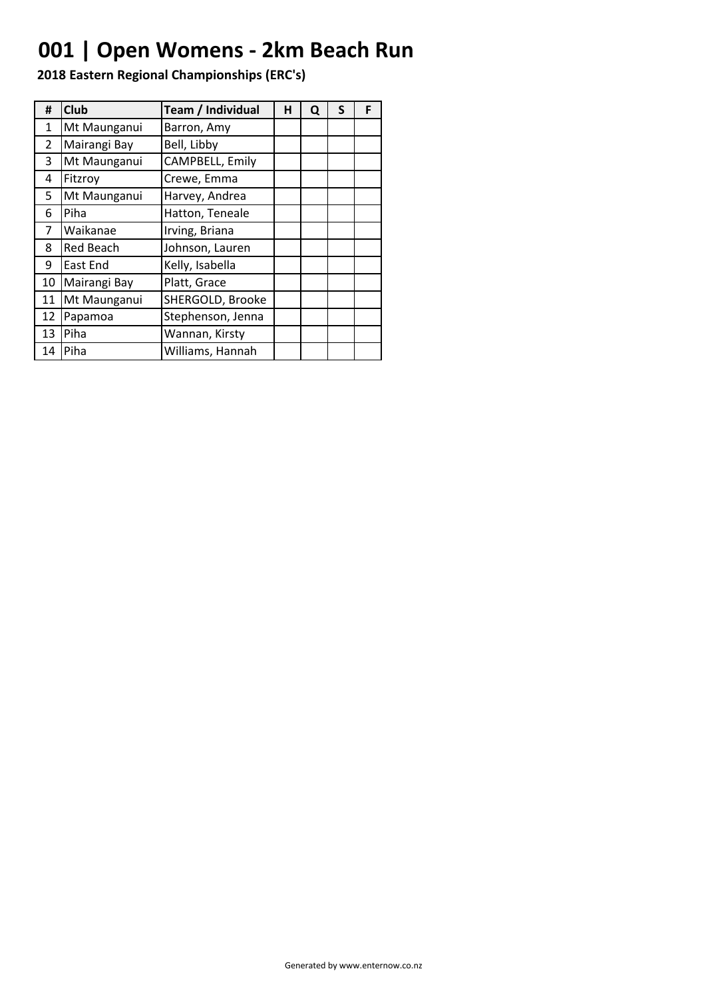## **001 | Open Womens - 2km Beach Run**

| #              | <b>Club</b>                            | Team / Individual | н | Q | S | F |
|----------------|----------------------------------------|-------------------|---|---|---|---|
| 1              | Mt Maunganui                           | Barron, Amy       |   |   |   |   |
| $\overline{2}$ | Mairangi Bay                           | Bell, Libby       |   |   |   |   |
| 3              | <b>CAMPBELL, Emily</b><br>Mt Maunganui |                   |   |   |   |   |
| 4              | Fitzroy                                | Crewe, Emma       |   |   |   |   |
| 5              | Mt Maunganui                           | Harvey, Andrea    |   |   |   |   |
| 6              | Piha                                   | Hatton, Teneale   |   |   |   |   |
| 7              | Waikanae<br>Irving, Briana             |                   |   |   |   |   |
| 8              | <b>Red Beach</b>                       | Johnson, Lauren   |   |   |   |   |
| 9              | <b>East End</b>                        | Kelly, Isabella   |   |   |   |   |
| 10             | Mairangi Bay                           | Platt, Grace      |   |   |   |   |
| 11             | Mt Maunganui                           | SHERGOLD, Brooke  |   |   |   |   |
| 12             | Papamoa                                | Stephenson, Jenna |   |   |   |   |
| 13             | Piha                                   | Wannan, Kirsty    |   |   |   |   |
| 14             | Piha                                   | Williams, Hannah  |   |   |   |   |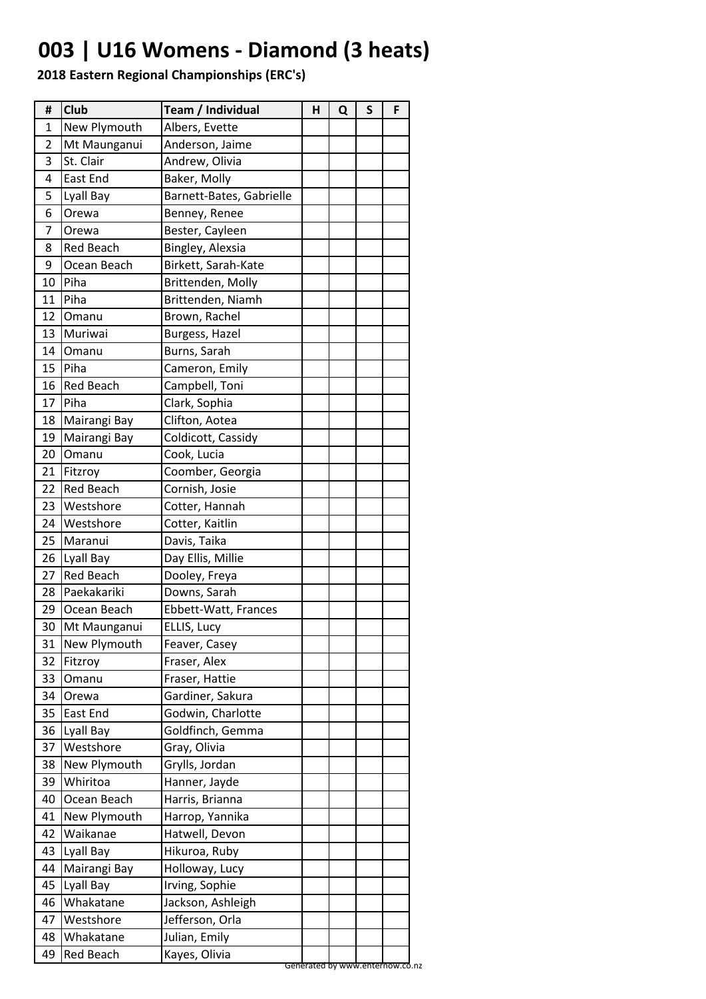## **003 | U16 Womens - Diamond (3 heats)**

| #  | Club                           | Team / Individual        | н | Q | S | F |
|----|--------------------------------|--------------------------|---|---|---|---|
| 1  | New Plymouth                   | Albers, Evette           |   |   |   |   |
| 2  | Mt Maunganui                   | Anderson, Jaime          |   |   |   |   |
| 3  | St. Clair                      | Andrew, Olivia           |   |   |   |   |
| 4  | East End                       | Baker, Molly             |   |   |   |   |
| 5  | Lyall Bay                      | Barnett-Bates, Gabrielle |   |   |   |   |
| 6  | Orewa                          | Benney, Renee            |   |   |   |   |
| 7  | Orewa                          | Bester, Cayleen          |   |   |   |   |
| 8  | <b>Red Beach</b>               | Bingley, Alexsia         |   |   |   |   |
| 9  | Ocean Beach                    | Birkett, Sarah-Kate      |   |   |   |   |
| 10 | Piha                           | Brittenden, Molly        |   |   |   |   |
| 11 | Piha                           | Brittenden, Niamh        |   |   |   |   |
| 12 | Omanu                          | Brown, Rachel            |   |   |   |   |
| 13 | Muriwai                        | Burgess, Hazel           |   |   |   |   |
| 14 | Omanu                          | Burns, Sarah             |   |   |   |   |
| 15 | Piha                           | Cameron, Emily           |   |   |   |   |
| 16 | <b>Red Beach</b>               | Campbell, Toni           |   |   |   |   |
| 17 | Piha                           | Clark, Sophia            |   |   |   |   |
| 18 | Mairangi Bay                   | Clifton, Aotea           |   |   |   |   |
| 19 | Mairangi Bay                   | Coldicott, Cassidy       |   |   |   |   |
| 20 | Omanu                          | Cook, Lucia              |   |   |   |   |
| 21 | Fitzroy                        | Coomber, Georgia         |   |   |   |   |
| 22 | <b>Red Beach</b>               | Cornish, Josie           |   |   |   |   |
| 23 | Westshore                      | Cotter, Hannah           |   |   |   |   |
| 24 | Westshore<br>Cotter, Kaitlin   |                          |   |   |   |   |
| 25 | Davis, Taika<br>Maranui        |                          |   |   |   |   |
| 26 | Day Ellis, Millie<br>Lyall Bay |                          |   |   |   |   |
| 27 | <b>Red Beach</b>               | Dooley, Freya            |   |   |   |   |
| 28 | Paekakariki                    | Downs, Sarah             |   |   |   |   |
| 29 | Ocean Beach                    | Ebbett-Watt, Frances     |   |   |   |   |
| 30 | Mt Maunganui                   | ELLIS, Lucy              |   |   |   |   |
| 31 | New Plymouth                   | Feaver, Casey            |   |   |   |   |
| 32 | Fitzroy                        | Fraser, Alex             |   |   |   |   |
| 33 | Omanu                          | Fraser, Hattie           |   |   |   |   |
| 34 | Orewa                          | Gardiner, Sakura         |   |   |   |   |
| 35 | East End                       | Godwin, Charlotte        |   |   |   |   |
| 36 | Lyall Bay                      | Goldfinch, Gemma         |   |   |   |   |
| 37 | Westshore                      | Gray, Olivia             |   |   |   |   |
| 38 | New Plymouth                   | Grylls, Jordan           |   |   |   |   |
| 39 | Whiritoa                       | Hanner, Jayde            |   |   |   |   |
| 40 | Ocean Beach                    | Harris, Brianna          |   |   |   |   |
| 41 | New Plymouth                   | Harrop, Yannika          |   |   |   |   |
| 42 | Waikanae                       | Hatwell, Devon           |   |   |   |   |
| 43 | Lyall Bay                      | Hikuroa, Ruby            |   |   |   |   |
| 44 | Mairangi Bay                   | Holloway, Lucy           |   |   |   |   |
| 45 | Lyall Bay                      | Irving, Sophie           |   |   |   |   |
| 46 | Whakatane                      | Jackson, Ashleigh        |   |   |   |   |
| 47 | Westshore                      | Jefferson, Orla          |   |   |   |   |
| 48 | Whakatane                      | Julian, Emily            |   |   |   |   |
| 49 | Red Beach                      | Kayes, Olivia            |   |   |   |   |
|    |                                |                          |   |   |   |   |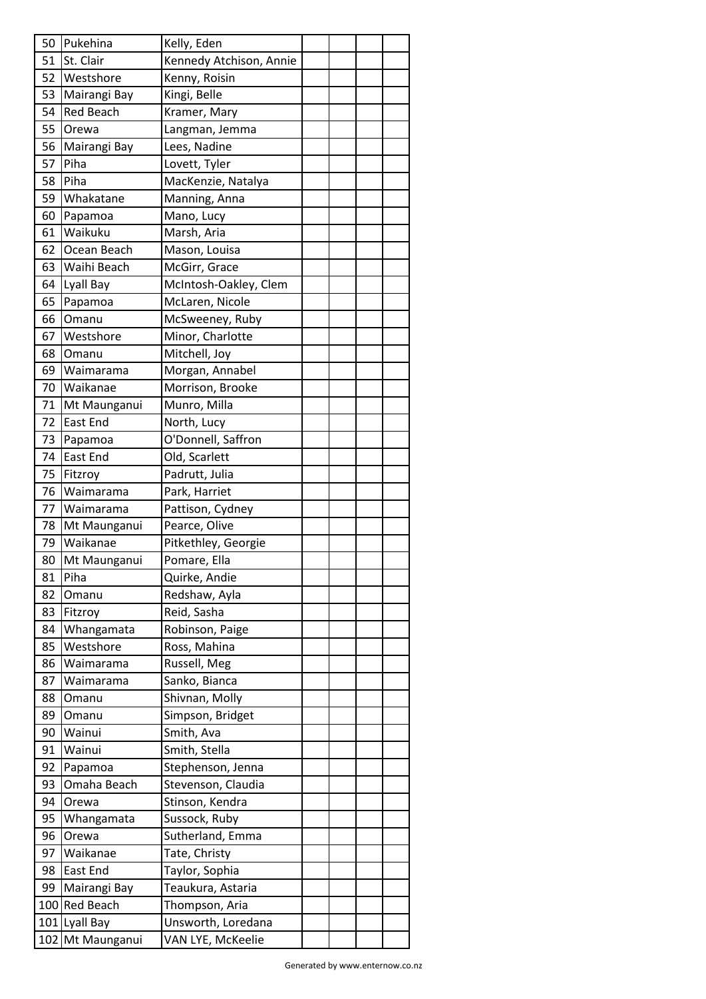| 50 | Pukehina                  | Kelly, Eden             |  |  |
|----|---------------------------|-------------------------|--|--|
| 51 | St. Clair                 | Kennedy Atchison, Annie |  |  |
| 52 | Westshore                 | Kenny, Roisin           |  |  |
| 53 | Mairangi Bay              | Kingi, Belle            |  |  |
| 54 | <b>Red Beach</b>          | Kramer, Mary            |  |  |
| 55 | Orewa                     | Langman, Jemma          |  |  |
| 56 | Mairangi Bay              | Lees, Nadine            |  |  |
| 57 | Piha                      | Lovett, Tyler           |  |  |
| 58 | Piha                      | MacKenzie, Natalya      |  |  |
| 59 | Whakatane                 | Manning, Anna           |  |  |
| 60 | Papamoa                   | Mano, Lucy              |  |  |
| 61 | Waikuku                   | Marsh, Aria             |  |  |
| 62 | Ocean Beach               | Mason, Louisa           |  |  |
| 63 | Waihi Beach               | McGirr, Grace           |  |  |
| 64 | Lyall Bay                 | McIntosh-Oakley, Clem   |  |  |
| 65 | Papamoa                   | McLaren, Nicole         |  |  |
| 66 | Omanu                     | McSweeney, Ruby         |  |  |
| 67 | Westshore                 | Minor, Charlotte        |  |  |
| 68 | Omanu                     | Mitchell, Joy           |  |  |
| 69 | Waimarama                 | Morgan, Annabel         |  |  |
| 70 | Waikanae                  | Morrison, Brooke        |  |  |
| 71 | Mt Maunganui              | Munro, Milla            |  |  |
| 72 | East End                  | North, Lucy             |  |  |
| 73 | Papamoa                   | O'Donnell, Saffron      |  |  |
| 74 | East End                  | Old, Scarlett           |  |  |
| 75 | Padrutt, Julia<br>Fitzroy |                         |  |  |
| 76 | Waimarama                 | Park, Harriet           |  |  |
| 77 | Waimarama                 | Pattison, Cydney        |  |  |
| 78 | Mt Maunganui              | Pearce, Olive           |  |  |
| 79 | Waikanae                  | Pitkethley, Georgie     |  |  |
| 80 | Mt Maunganui              | Pomare, Ella            |  |  |
| 81 | Piha                      | Quirke, Andie           |  |  |
| 82 | Omanu                     | Redshaw, Ayla           |  |  |
| 83 | Fitzroy                   | Reid, Sasha             |  |  |
| 84 | Whangamata                | Robinson, Paige         |  |  |
| 85 | Westshore                 | Ross, Mahina            |  |  |
| 86 | Waimarama                 | Russell, Meg            |  |  |
| 87 | Waimarama                 | Sanko, Bianca           |  |  |
| 88 | Omanu                     | Shivnan, Molly          |  |  |
| 89 | Omanu                     | Simpson, Bridget        |  |  |
| 90 | Wainui                    | Smith, Ava              |  |  |
| 91 | Wainui                    | Smith, Stella           |  |  |
| 92 | Papamoa                   | Stephenson, Jenna       |  |  |
| 93 | Omaha Beach               | Stevenson, Claudia      |  |  |
| 94 | Orewa                     | Stinson, Kendra         |  |  |
| 95 | Whangamata                | Sussock, Ruby           |  |  |
| 96 | Orewa                     | Sutherland, Emma        |  |  |
| 97 | Waikanae                  | Tate, Christy           |  |  |
| 98 | <b>East End</b>           | Taylor, Sophia          |  |  |
| 99 | Mairangi Bay              | Teaukura, Astaria       |  |  |
|    | 100 Red Beach             | Thompson, Aria          |  |  |
|    | 101 Lyall Bay             | Unsworth, Loredana      |  |  |
|    | 102 Mt Maunganui          | VAN LYE, McKeelie       |  |  |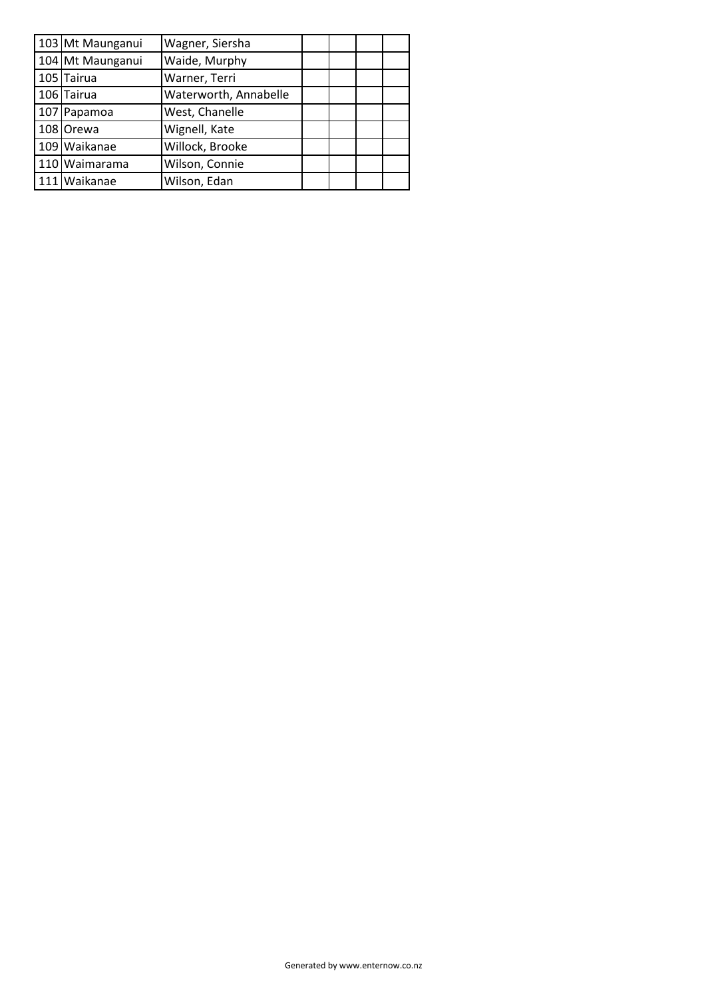| 103 Mt Maunganui            | Wagner, Siersha       |  |  |
|-----------------------------|-----------------------|--|--|
| 104 Mt Maunganui            | Waide, Murphy         |  |  |
| 105 Tairua<br>Warner, Terri |                       |  |  |
| 106 Tairua                  | Waterworth, Annabelle |  |  |
| 107 Papamoa                 | West, Chanelle        |  |  |
| 108 Orewa                   | Wignell, Kate         |  |  |
| 109 Waikanae                | Willock, Brooke       |  |  |
| 110 Waimarama               | Wilson, Connie        |  |  |
| 111 Waikanae                | Wilson, Edan          |  |  |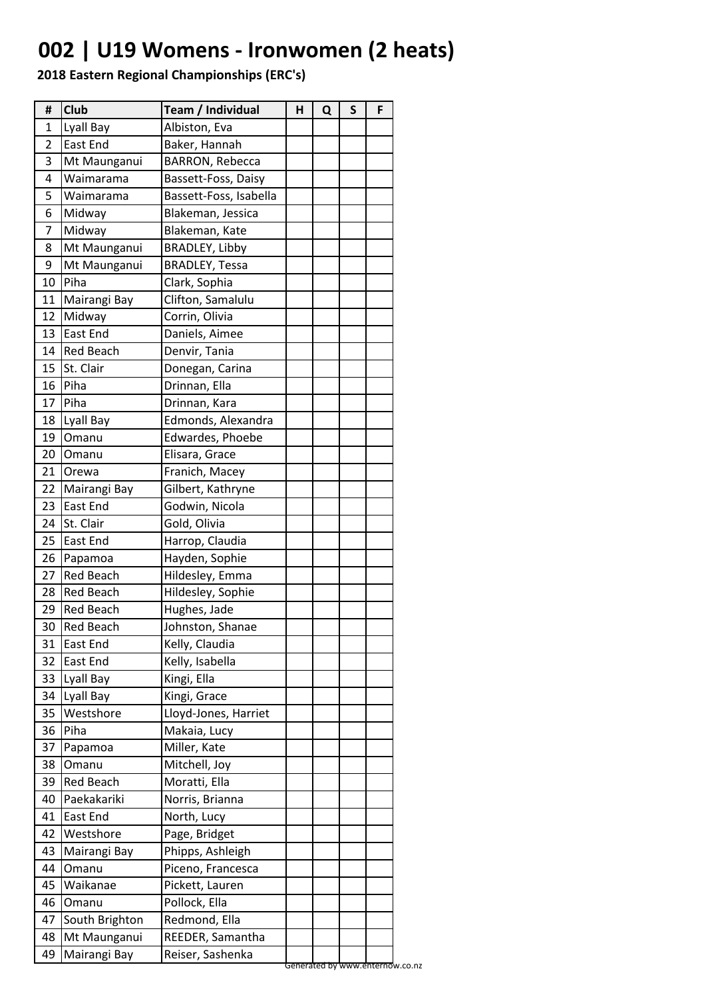## **002 | U19 Womens - Ironwomen (2 heats)**

| #              | Club             | Team / Individual      | н | Q | S | F |  |
|----------------|------------------|------------------------|---|---|---|---|--|
| 1              | Lyall Bay        | Albiston, Eva          |   |   |   |   |  |
| $\overline{2}$ | East End         | Baker, Hannah          |   |   |   |   |  |
| 3              | Mt Maunganui     | <b>BARRON, Rebecca</b> |   |   |   |   |  |
| 4              | Waimarama        | Bassett-Foss, Daisy    |   |   |   |   |  |
| 5              | Waimarama        | Bassett-Foss, Isabella |   |   |   |   |  |
| 6              | Midway           | Blakeman, Jessica      |   |   |   |   |  |
| 7              | Midway           | Blakeman, Kate         |   |   |   |   |  |
| 8              | Mt Maunganui     | <b>BRADLEY, Libby</b>  |   |   |   |   |  |
| 9              | Mt Maunganui     | <b>BRADLEY, Tessa</b>  |   |   |   |   |  |
| 10             | Piha             | Clark, Sophia          |   |   |   |   |  |
| 11             | Mairangi Bay     | Clifton, Samalulu      |   |   |   |   |  |
| 12             | Midway           | Corrin, Olivia         |   |   |   |   |  |
| 13             | East End         | Daniels, Aimee         |   |   |   |   |  |
| 14             | <b>Red Beach</b> | Denvir, Tania          |   |   |   |   |  |
| 15             | St. Clair        | Donegan, Carina        |   |   |   |   |  |
| 16             | Piha             | Drinnan, Ella          |   |   |   |   |  |
| 17             | Piha             | Drinnan, Kara          |   |   |   |   |  |
| 18             | Lyall Bay        | Edmonds, Alexandra     |   |   |   |   |  |
| 19             | Omanu            | Edwardes, Phoebe       |   |   |   |   |  |
| 20             | Omanu            | Elisara, Grace         |   |   |   |   |  |
| 21             | Orewa            | Franich, Macey         |   |   |   |   |  |
| 22             | Mairangi Bay     | Gilbert, Kathryne      |   |   |   |   |  |
| 23             | <b>East End</b>  | Godwin, Nicola         |   |   |   |   |  |
| 24             | St. Clair        | Gold, Olivia           |   |   |   |   |  |
| 25             | East End         | Harrop, Claudia        |   |   |   |   |  |
| 26             | Papamoa          | Hayden, Sophie         |   |   |   |   |  |
| 27             | <b>Red Beach</b> | Hildesley, Emma        |   |   |   |   |  |
| 28             | <b>Red Beach</b> | Hildesley, Sophie      |   |   |   |   |  |
| 29             | <b>Red Beach</b> | Hughes, Jade           |   |   |   |   |  |
| 30             | <b>Red Beach</b> | Johnston, Shanae       |   |   |   |   |  |
| 31             | East End         | Kelly, Claudia         |   |   |   |   |  |
| 32             | East End         | Kelly, Isabella        |   |   |   |   |  |
| 33             | Lyall Bay        | Kingi, Ella            |   |   |   |   |  |
| 34             | Lyall Bay        | Kingi, Grace           |   |   |   |   |  |
| 35             | Westshore        | Lloyd-Jones, Harriet   |   |   |   |   |  |
| 36             | Piha             | Makaia, Lucy           |   |   |   |   |  |
| 37             | Papamoa          | Miller, Kate           |   |   |   |   |  |
| 38             | Omanu            | Mitchell, Joy          |   |   |   |   |  |
| 39             | Red Beach        | Moratti, Ella          |   |   |   |   |  |
| 40             | Paekakariki      | Norris, Brianna        |   |   |   |   |  |
| 41             | East End         | North, Lucy            |   |   |   |   |  |
| 42             | Westshore        | Page, Bridget          |   |   |   |   |  |
| 43             | Mairangi Bay     | Phipps, Ashleigh       |   |   |   |   |  |
| 44             | Omanu            | Piceno, Francesca      |   |   |   |   |  |
| 45             | Waikanae         | Pickett, Lauren        |   |   |   |   |  |
| 46             | Omanu            | Pollock, Ella          |   |   |   |   |  |
| 47             |                  |                        |   |   |   |   |  |
|                | South Brighton   | Redmond, Ella          |   |   |   |   |  |
| 48             | Mt Maunganui     | REEDER, Samantha       |   |   |   |   |  |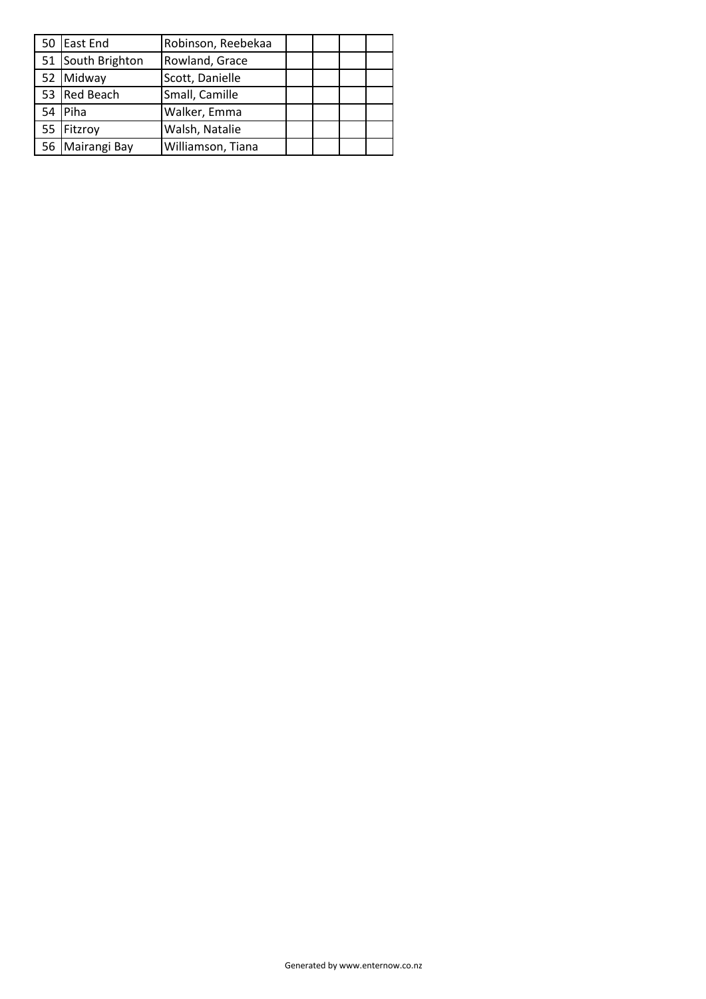| 50 East End<br>Robinson, Reebekaa   |                   |  |  |
|-------------------------------------|-------------------|--|--|
| 51 South Brighton<br>Rowland, Grace |                   |  |  |
| 52 Midway                           | Scott, Danielle   |  |  |
| 53 Red Beach                        | Small, Camille    |  |  |
| 54 Piha                             | Walker, Emma      |  |  |
| 55 Fitzroy                          | Walsh, Natalie    |  |  |
| 56 Mairangi Bay                     | Williamson, Tiana |  |  |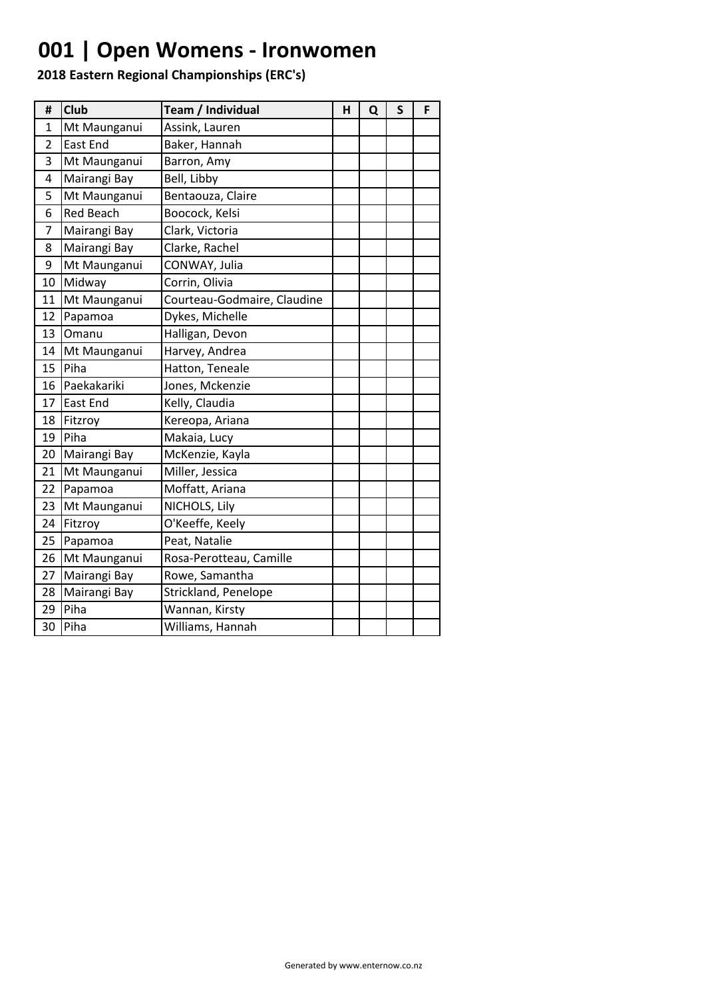## **001 | Open Womens - Ironwomen**

| #              | Club                           | Team / Individual           | н | Q | S | F |
|----------------|--------------------------------|-----------------------------|---|---|---|---|
| $\mathbf{1}$   | Mt Maunganui                   | Assink, Lauren              |   |   |   |   |
| $\overline{2}$ | East End                       | Baker, Hannah               |   |   |   |   |
| 3              | Mt Maunganui                   | Barron, Amy                 |   |   |   |   |
| 4              | Mairangi Bay                   | Bell, Libby                 |   |   |   |   |
| 5              | Mt Maunganui                   | Bentaouza, Claire           |   |   |   |   |
| 6              | <b>Red Beach</b>               | Boocock, Kelsi              |   |   |   |   |
| 7              | Mairangi Bay                   | Clark, Victoria             |   |   |   |   |
| 8              | Mairangi Bay                   | Clarke, Rachel              |   |   |   |   |
| 9              | Mt Maunganui                   | CONWAY, Julia               |   |   |   |   |
| 10             | Midway                         | Corrin, Olivia              |   |   |   |   |
| 11             | Mt Maunganui                   | Courteau-Godmaire, Claudine |   |   |   |   |
| 12             | Papamoa                        | Dykes, Michelle             |   |   |   |   |
| 13             | Omanu                          | Halligan, Devon             |   |   |   |   |
| 14             | Harvey, Andrea<br>Mt Maunganui |                             |   |   |   |   |
| 15             | Piha                           | Hatton, Teneale             |   |   |   |   |
| 16             | Paekakariki                    | Jones, Mckenzie             |   |   |   |   |
| 17             | East End                       | Kelly, Claudia              |   |   |   |   |
| 18             | Fitzroy                        | Kereopa, Ariana             |   |   |   |   |
| 19             | Piha                           | Makaia, Lucy                |   |   |   |   |
| 20             | Mairangi Bay                   | McKenzie, Kayla             |   |   |   |   |
| 21             | Mt Maunganui                   | Miller, Jessica             |   |   |   |   |
| 22             | Papamoa                        | Moffatt, Ariana             |   |   |   |   |
| 23             | Mt Maunganui                   | NICHOLS, Lily               |   |   |   |   |
| 24             | Fitzroy                        | O'Keeffe, Keely             |   |   |   |   |
| 25             | Papamoa                        | Peat, Natalie               |   |   |   |   |
| 26             | Mt Maunganui                   | Rosa-Perotteau, Camille     |   |   |   |   |
| 27             | Mairangi Bay                   | Rowe, Samantha              |   |   |   |   |
| 28             | Mairangi Bay                   | Strickland, Penelope        |   |   |   |   |
| 29             | Piha                           | Wannan, Kirsty              |   |   |   |   |
| 30             | Piha                           | Williams, Hannah            |   |   |   |   |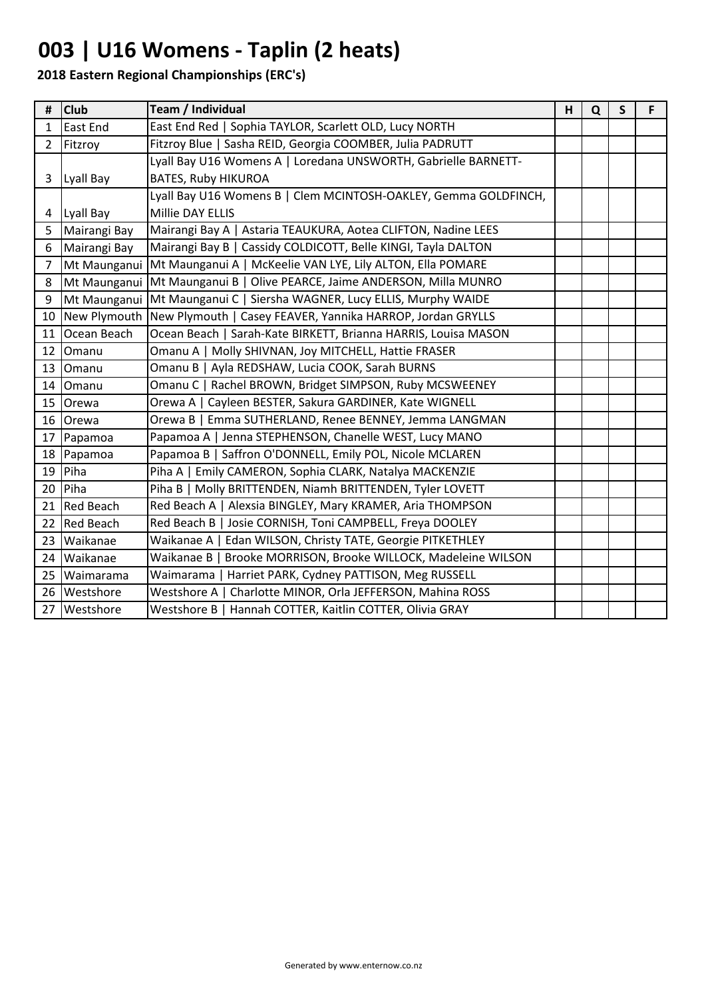## **003 | U16 Womens - Taplin (2 heats)**

| #              | <b>Club</b>     | Team / Individual                                                              | н | Q | $\mathsf{S}$ | F. |
|----------------|-----------------|--------------------------------------------------------------------------------|---|---|--------------|----|
| $\mathbf{1}$   | <b>East End</b> | East End Red   Sophia TAYLOR, Scarlett OLD, Lucy NORTH                         |   |   |              |    |
| $2^{\circ}$    | Fitzroy         | Fitzroy Blue   Sasha REID, Georgia COOMBER, Julia PADRUTT                      |   |   |              |    |
|                |                 | Lyall Bay U16 Womens A   Loredana UNSWORTH, Gabrielle BARNETT-                 |   |   |              |    |
| $\mathbf{3}$   | Lyall Bay       | <b>BATES, Ruby HIKUROA</b>                                                     |   |   |              |    |
|                |                 | Lyall Bay U16 Womens B   Clem MCINTOSH-OAKLEY, Gemma GOLDFINCH,                |   |   |              |    |
| 4              | Lyall Bay       | Millie DAY ELLIS                                                               |   |   |              |    |
| 5              | Mairangi Bay    | Mairangi Bay A   Astaria TEAUKURA, Aotea CLIFTON, Nadine LEES                  |   |   |              |    |
| 6              | Mairangi Bay    | Mairangi Bay B   Cassidy COLDICOTT, Belle KINGI, Tayla DALTON                  |   |   |              |    |
| $\overline{7}$ |                 | Mt Maunganui Mt Maunganui A   McKeelie VAN LYE, Lily ALTON, Ella POMARE        |   |   |              |    |
| 8              | Mt Maunganui    | Mt Maunganui B   Olive PEARCE, Jaime ANDERSON, Milla MUNRO                     |   |   |              |    |
| 9              |                 | Mt Maunganui Mt Maunganui C   Siersha WAGNER, Lucy ELLIS, Murphy WAIDE         |   |   |              |    |
|                |                 | 10   New Plymouth   New Plymouth   Casey FEAVER, Yannika HARROP, Jordan GRYLLS |   |   |              |    |
|                | 11 Ocean Beach  | Ocean Beach   Sarah-Kate BIRKETT, Brianna HARRIS, Louisa MASON                 |   |   |              |    |
|                | 12 Omanu        | Omanu A   Molly SHIVNAN, Joy MITCHELL, Hattie FRASER                           |   |   |              |    |
|                | 13 Omanu        | Omanu B   Ayla REDSHAW, Lucia COOK, Sarah BURNS                                |   |   |              |    |
|                | 14 Omanu        | Omanu C   Rachel BROWN, Bridget SIMPSON, Ruby MCSWEENEY                        |   |   |              |    |
|                | 15 Orewa        | Orewa A   Cayleen BESTER, Sakura GARDINER, Kate WIGNELL                        |   |   |              |    |
|                | 16 Orewa        | Orewa B   Emma SUTHERLAND, Renee BENNEY, Jemma LANGMAN                         |   |   |              |    |
|                | 17 Papamoa      | Papamoa A   Jenna STEPHENSON, Chanelle WEST, Lucy MANO                         |   |   |              |    |
|                | 18 Papamoa      | Papamoa B   Saffron O'DONNELL, Emily POL, Nicole MCLAREN                       |   |   |              |    |
|                | $19$ Piha       | Piha A   Emily CAMERON, Sophia CLARK, Natalya MACKENZIE                        |   |   |              |    |
|                | 20 Piha         | Piha B   Molly BRITTENDEN, Niamh BRITTENDEN, Tyler LOVETT                      |   |   |              |    |
|                | 21 Red Beach    | Red Beach A   Alexsia BINGLEY, Mary KRAMER, Aria THOMPSON                      |   |   |              |    |
|                | 22 Red Beach    | Red Beach B   Josie CORNISH, Toni CAMPBELL, Freya DOOLEY                       |   |   |              |    |
|                | 23 Waikanae     | Waikanae A   Edan WILSON, Christy TATE, Georgie PITKETHLEY                     |   |   |              |    |
|                | 24 Waikanae     | Waikanae B   Brooke MORRISON, Brooke WILLOCK, Madeleine WILSON                 |   |   |              |    |
|                | 25 Waimarama    | Waimarama   Harriet PARK, Cydney PATTISON, Meg RUSSELL                         |   |   |              |    |
|                | 26 Westshore    | Westshore A   Charlotte MINOR, Orla JEFFERSON, Mahina ROSS                     |   |   |              |    |
|                | 27 Westshore    | Westshore B   Hannah COTTER, Kaitlin COTTER, Olivia GRAY                       |   |   |              |    |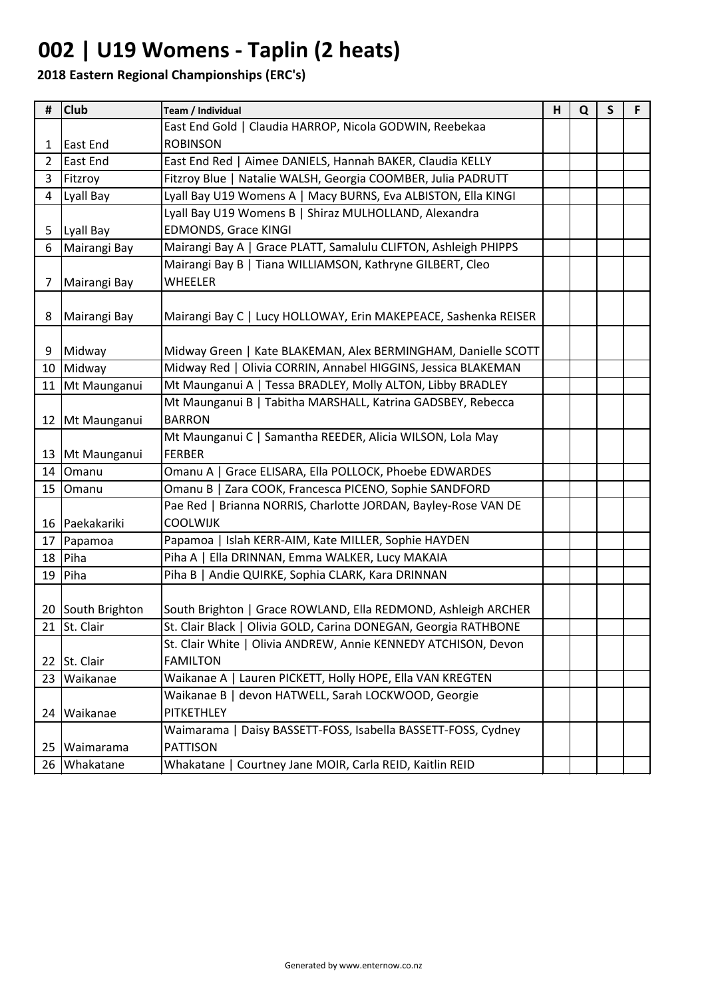## **002 | U19 Womens - Taplin (2 heats)**

| #              | <b>Club</b>       | Team / Individual                                               | H | Q | $\mathsf{S}$ | F. |
|----------------|-------------------|-----------------------------------------------------------------|---|---|--------------|----|
|                |                   | East End Gold   Claudia HARROP, Nicola GODWIN, Reebekaa         |   |   |              |    |
| 1              | <b>East End</b>   | <b>ROBINSON</b>                                                 |   |   |              |    |
| $\overline{2}$ | <b>East End</b>   | East End Red   Aimee DANIELS, Hannah BAKER, Claudia KELLY       |   |   |              |    |
| $\overline{3}$ | Fitzroy           | Fitzroy Blue   Natalie WALSH, Georgia COOMBER, Julia PADRUTT    |   |   |              |    |
| $\overline{4}$ | Lyall Bay         | Lyall Bay U19 Womens A   Macy BURNS, Eva ALBISTON, Ella KINGI   |   |   |              |    |
|                |                   | Lyall Bay U19 Womens B   Shiraz MULHOLLAND, Alexandra           |   |   |              |    |
| 5              | Lyall Bay         | <b>EDMONDS, Grace KINGI</b>                                     |   |   |              |    |
| 6              | Mairangi Bay      | Mairangi Bay A   Grace PLATT, Samalulu CLIFTON, Ashleigh PHIPPS |   |   |              |    |
|                |                   | Mairangi Bay B   Tiana WILLIAMSON, Kathryne GILBERT, Cleo       |   |   |              |    |
| $\overline{7}$ | Mairangi Bay      | WHEELER                                                         |   |   |              |    |
|                |                   |                                                                 |   |   |              |    |
| 8              | Mairangi Bay      | Mairangi Bay C   Lucy HOLLOWAY, Erin MAKEPEACE, Sashenka REISER |   |   |              |    |
|                |                   |                                                                 |   |   |              |    |
| 9              | Midway            | Midway Green   Kate BLAKEMAN, Alex BERMINGHAM, Danielle SCOTT   |   |   |              |    |
|                | 10 Midway         | Midway Red   Olivia CORRIN, Annabel HIGGINS, Jessica BLAKEMAN   |   |   |              |    |
|                | 11   Mt Maunganui | Mt Maunganui A   Tessa BRADLEY, Molly ALTON, Libby BRADLEY      |   |   |              |    |
|                |                   | Mt Maunganui B   Tabitha MARSHALL, Katrina GADSBEY, Rebecca     |   |   |              |    |
|                | 12 Mt Maunganui   | <b>BARRON</b>                                                   |   |   |              |    |
|                |                   | Mt Maunganui C   Samantha REEDER, Alicia WILSON, Lola May       |   |   |              |    |
|                | 13 Mt Maunganui   | <b>FERBER</b>                                                   |   |   |              |    |
| 14             | Omanu             | Omanu A   Grace ELISARA, Ella POLLOCK, Phoebe EDWARDES          |   |   |              |    |
| 15             | Omanu             | Omanu B   Zara COOK, Francesca PICENO, Sophie SANDFORD          |   |   |              |    |
|                |                   | Pae Red   Brianna NORRIS, Charlotte JORDAN, Bayley-Rose VAN DE  |   |   |              |    |
|                | 16 Paekakariki    | <b>COOLWIJK</b>                                                 |   |   |              |    |
|                | 17 Papamoa        | Papamoa   Islah KERR-AIM, Kate MILLER, Sophie HAYDEN            |   |   |              |    |
| 18             | Piha              | Piha A   Ella DRINNAN, Emma WALKER, Lucy MAKAIA                 |   |   |              |    |
| 19             | Piha              | Piha B   Andie QUIRKE, Sophia CLARK, Kara DRINNAN               |   |   |              |    |
|                |                   |                                                                 |   |   |              |    |
|                | 20 South Brighton | South Brighton   Grace ROWLAND, Ella REDMOND, Ashleigh ARCHER   |   |   |              |    |
|                | 21 St. Clair      | St. Clair Black   Olivia GOLD, Carina DONEGAN, Georgia RATHBONE |   |   |              |    |
|                |                   | St. Clair White   Olivia ANDREW, Annie KENNEDY ATCHISON, Devon  |   |   |              |    |
|                | 22 St. Clair      | <b>FAMILTON</b>                                                 |   |   |              |    |
| 23             | Waikanae          | Waikanae A<br>Lauren PICKETT, Holly HOPE, Ella VAN KREGTEN      |   |   |              |    |
|                |                   | devon HATWELL, Sarah LOCKWOOD, Georgie<br>Waikanae B            |   |   |              |    |
| 24             | Waikanae          | <b>PITKETHLEY</b>                                               |   |   |              |    |
|                |                   | Daisy BASSETT-FOSS, Isabella BASSETT-FOSS, Cydney<br>Waimarama  |   |   |              |    |
| 25             | Waimarama         | <b>PATTISON</b>                                                 |   |   |              |    |
| 26             | Whakatane         | Courtney Jane MOIR, Carla REID, Kaitlin REID<br>Whakatane       |   |   |              |    |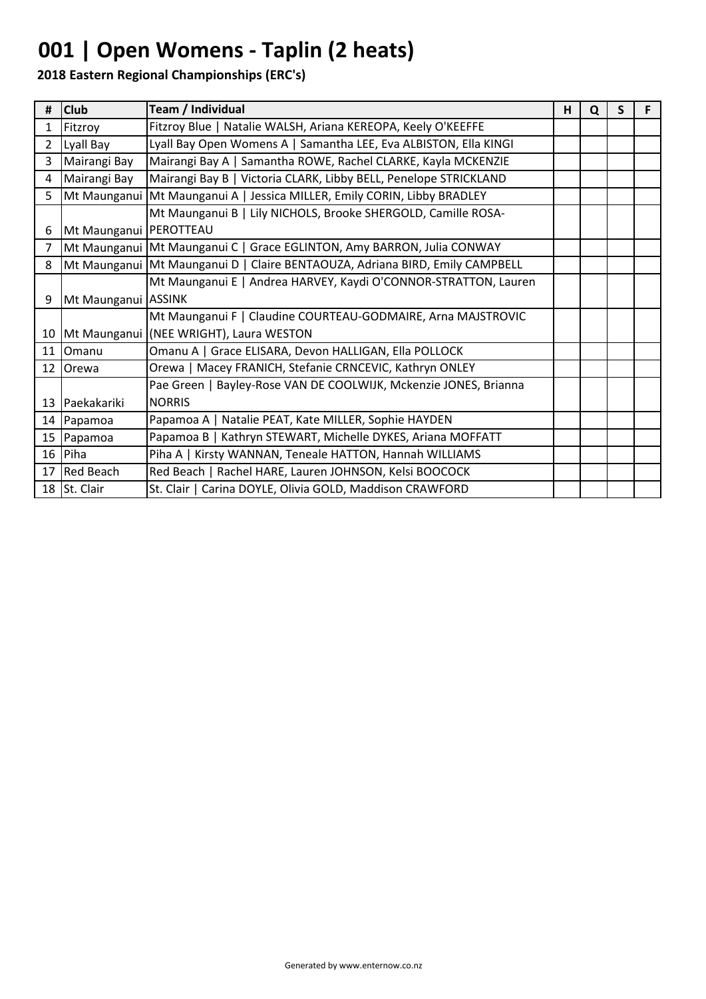# **001 | Open Womens - Taplin (2 heats)**

| # | <b>Club</b>              | Team / Individual                                                            | н | Q | S | F. |
|---|--------------------------|------------------------------------------------------------------------------|---|---|---|----|
| 1 | Fitzroy                  | Fitzroy Blue   Natalie WALSH, Ariana KEREOPA, Keely O'KEEFFE                 |   |   |   |    |
| 2 | Lyall Bay                | Lyall Bay Open Womens A   Samantha LEE, Eva ALBISTON, Ella KINGI             |   |   |   |    |
| 3 | Mairangi Bay             | Mairangi Bay A   Samantha ROWE, Rachel CLARKE, Kayla MCKENZIE                |   |   |   |    |
| 4 | Mairangi Bay             | Mairangi Bay B   Victoria CLARK, Libby BELL, Penelope STRICKLAND             |   |   |   |    |
| 5 |                          | Mt Maunganui Mt Maunganui A   Jessica MILLER, Emily CORIN, Libby BRADLEY     |   |   |   |    |
|   |                          | Mt Maunganui B   Lily NICHOLS, Brooke SHERGOLD, Camille ROSA-                |   |   |   |    |
| 6 | Mt Maunganui   PEROTTEAU |                                                                              |   |   |   |    |
| 7 |                          | Mt Maunganui   Mt Maunganui C   Grace EGLINTON, Amy BARRON, Julia CONWAY     |   |   |   |    |
| 8 |                          | Mt Maunganui Mt Maunganui D   Claire BENTAOUZA, Adriana BIRD, Emily CAMPBELL |   |   |   |    |
|   |                          | Mt Maunganui E   Andrea HARVEY, Kaydi O'CONNOR-STRATTON, Lauren              |   |   |   |    |
| 9 | Mt Maunganui ASSINK      |                                                                              |   |   |   |    |
|   |                          | Mt Maunganui F   Claudine COURTEAU-GODMAIRE, Arna MAJSTROVIC                 |   |   |   |    |
|   |                          | 10 Mt Maunganui (NEE WRIGHT), Laura WESTON                                   |   |   |   |    |
|   | 11 Omanu                 | Omanu A   Grace ELISARA, Devon HALLIGAN, Ella POLLOCK                        |   |   |   |    |
|   | 12 Orewa                 | Orewa   Macey FRANICH, Stefanie CRNCEVIC, Kathryn ONLEY                      |   |   |   |    |
|   |                          | Pae Green   Bayley-Rose VAN DE COOLWIJK, Mckenzie JONES, Brianna             |   |   |   |    |
|   | 13 Paekakariki           | <b>NORRIS</b>                                                                |   |   |   |    |
|   | 14 Papamoa               | Papamoa A   Natalie PEAT, Kate MILLER, Sophie HAYDEN                         |   |   |   |    |
|   | 15 Papamoa               | Papamoa B   Kathryn STEWART, Michelle DYKES, Ariana MOFFATT                  |   |   |   |    |
|   | $16$ Piha                | Piha A   Kirsty WANNAN, Teneale HATTON, Hannah WILLIAMS                      |   |   |   |    |
|   | 17 Red Beach             | Red Beach   Rachel HARE, Lauren JOHNSON, Kelsi BOOCOCK                       |   |   |   |    |
|   | 18 St. Clair             | St. Clair   Carina DOYLE, Olivia GOLD, Maddison CRAWFORD                     |   |   |   |    |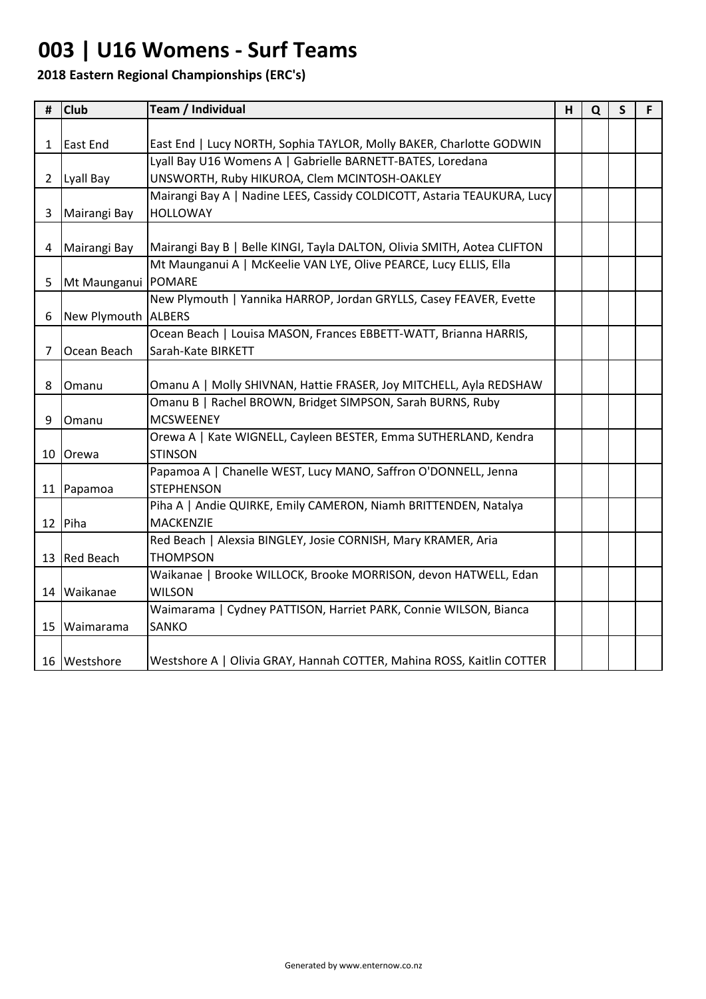## **003 | U16 Womens - Surf Teams**

| #              | <b>Club</b>         | Team / Individual                                                       | H | Q | $\mathsf{S}$ | F. |
|----------------|---------------------|-------------------------------------------------------------------------|---|---|--------------|----|
|                |                     |                                                                         |   |   |              |    |
| $\mathbf 1$    | East End            | East End   Lucy NORTH, Sophia TAYLOR, Molly BAKER, Charlotte GODWIN     |   |   |              |    |
|                |                     | Lyall Bay U16 Womens A   Gabrielle BARNETT-BATES, Loredana              |   |   |              |    |
|                | 2   Lyall Bay       | UNSWORTH, Ruby HIKUROA, Clem MCINTOSH-OAKLEY                            |   |   |              |    |
|                |                     | Mairangi Bay A   Nadine LEES, Cassidy COLDICOTT, Astaria TEAUKURA, Lucy |   |   |              |    |
| 3 <sup>1</sup> | Mairangi Bay        | <b>HOLLOWAY</b>                                                         |   |   |              |    |
|                |                     |                                                                         |   |   |              |    |
| 4              | Mairangi Bay        | Mairangi Bay B   Belle KINGI, Tayla DALTON, Olivia SMITH, Aotea CLIFTON |   |   |              |    |
|                |                     | Mt Maunganui A   McKeelie VAN LYE, Olive PEARCE, Lucy ELLIS, Ella       |   |   |              |    |
| 5              | Mt Maunganui POMARE |                                                                         |   |   |              |    |
|                |                     | New Plymouth   Yannika HARROP, Jordan GRYLLS, Casey FEAVER, Evette      |   |   |              |    |
| 6              | New Plymouth ALBERS |                                                                         |   |   |              |    |
|                |                     | Ocean Beach   Louisa MASON, Frances EBBETT-WATT, Brianna HARRIS,        |   |   |              |    |
| 7              | Ocean Beach         | Sarah-Kate BIRKETT                                                      |   |   |              |    |
|                |                     |                                                                         |   |   |              |    |
| 8              | Omanu               | Omanu A   Molly SHIVNAN, Hattie FRASER, Joy MITCHELL, Ayla REDSHAW      |   |   |              |    |
|                |                     | Omanu B   Rachel BROWN, Bridget SIMPSON, Sarah BURNS, Ruby              |   |   |              |    |
| 9              | Omanu               | <b>MCSWEENEY</b>                                                        |   |   |              |    |
|                |                     | Orewa A   Kate WIGNELL, Cayleen BESTER, Emma SUTHERLAND, Kendra         |   |   |              |    |
|                | 10 Orewa            | <b>STINSON</b>                                                          |   |   |              |    |
|                |                     | Papamoa A   Chanelle WEST, Lucy MANO, Saffron O'DONNELL, Jenna          |   |   |              |    |
|                | 11 Papamoa          | <b>STEPHENSON</b>                                                       |   |   |              |    |
|                |                     | Piha A   Andie QUIRKE, Emily CAMERON, Niamh BRITTENDEN, Natalya         |   |   |              |    |
|                | 12 Piha             | <b>MACKENZIE</b>                                                        |   |   |              |    |
|                |                     | Red Beach   Alexsia BINGLEY, Josie CORNISH, Mary KRAMER, Aria           |   |   |              |    |
|                | 13 Red Beach        | <b>THOMPSON</b>                                                         |   |   |              |    |
|                |                     | Waikanae   Brooke WILLOCK, Brooke MORRISON, devon HATWELL, Edan         |   |   |              |    |
|                | 14 Waikanae         | <b>WILSON</b>                                                           |   |   |              |    |
|                |                     | Waimarama   Cydney PATTISON, Harriet PARK, Connie WILSON, Bianca        |   |   |              |    |
|                | 15 Waimarama        | SANKO                                                                   |   |   |              |    |
|                |                     |                                                                         |   |   |              |    |
|                | 16   Westshore      | Westshore A   Olivia GRAY, Hannah COTTER, Mahina ROSS, Kaitlin COTTER   |   |   |              |    |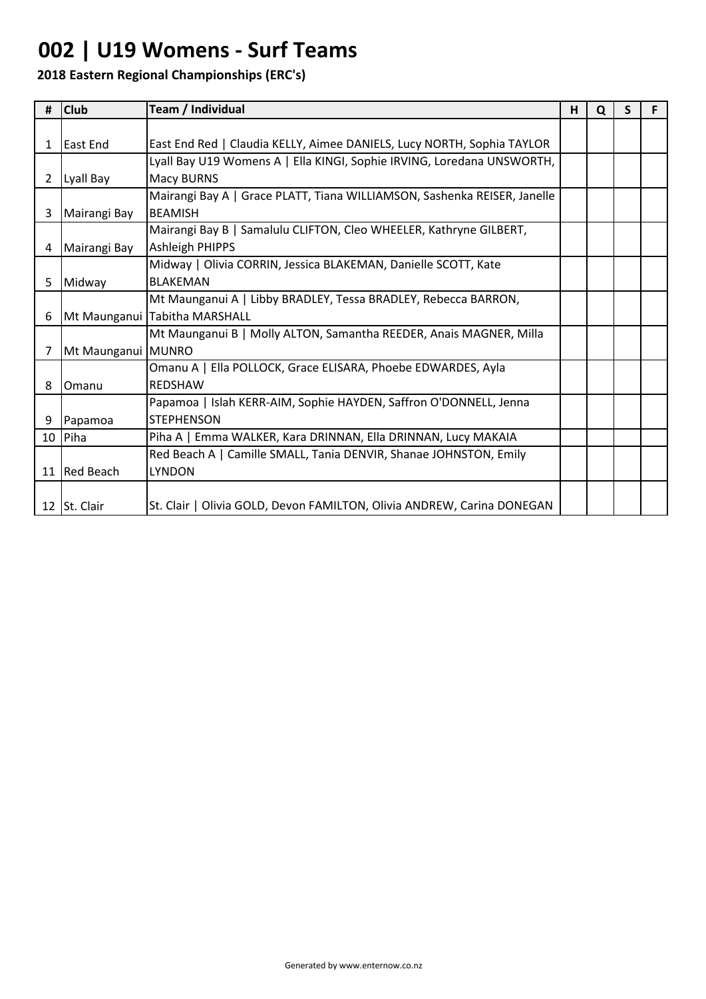## **002 | U19 Womens - Surf Teams**

| #            | <b>Club</b>        | Team / Individual                                                        | н | Q | S | F. |
|--------------|--------------------|--------------------------------------------------------------------------|---|---|---|----|
|              |                    |                                                                          |   |   |   |    |
| $\mathbf{1}$ | East End           | East End Red   Claudia KELLY, Aimee DANIELS, Lucy NORTH, Sophia TAYLOR   |   |   |   |    |
|              |                    | Lyall Bay U19 Womens A   Ella KINGI, Sophie IRVING, Loredana UNSWORTH,   |   |   |   |    |
| $\mathbf{2}$ | Lyall Bay          | Macy BURNS                                                               |   |   |   |    |
|              |                    | Mairangi Bay A   Grace PLATT, Tiana WILLIAMSON, Sashenka REISER, Janelle |   |   |   |    |
| 3            | Mairangi Bay       | <b>BEAMISH</b>                                                           |   |   |   |    |
|              |                    | Mairangi Bay B   Samalulu CLIFTON, Cleo WHEELER, Kathryne GILBERT,       |   |   |   |    |
|              | 4 Mairangi Bay     | <b>Ashleigh PHIPPS</b>                                                   |   |   |   |    |
|              |                    | Midway   Olivia CORRIN, Jessica BLAKEMAN, Danielle SCOTT, Kate           |   |   |   |    |
| 5            | Midway             | <b>BLAKEMAN</b>                                                          |   |   |   |    |
|              |                    | Mt Maunganui A   Libby BRADLEY, Tessa BRADLEY, Rebecca BARRON,           |   |   |   |    |
| 6            |                    | Mt Maunganui Tabitha MARSHALL                                            |   |   |   |    |
|              |                    | Mt Maunganui B   Molly ALTON, Samantha REEDER, Anais MAGNER, Milla       |   |   |   |    |
| 7            | Mt Maunganui MUNRO |                                                                          |   |   |   |    |
|              |                    | Omanu A   Ella POLLOCK, Grace ELISARA, Phoebe EDWARDES, Ayla             |   |   |   |    |
| 8            | Omanu              | <b>REDSHAW</b>                                                           |   |   |   |    |
|              |                    | Papamoa   Islah KERR-AIM, Sophie HAYDEN, Saffron O'DONNELL, Jenna        |   |   |   |    |
| 9            | Papamoa            | <b>STEPHENSON</b>                                                        |   |   |   |    |
|              | 10 Piha            | Piha A   Emma WALKER, Kara DRINNAN, Ella DRINNAN, Lucy MAKAIA            |   |   |   |    |
|              |                    | Red Beach A   Camille SMALL, Tania DENVIR, Shanae JOHNSTON, Emily        |   |   |   |    |
|              | 11 Red Beach       | <b>LYNDON</b>                                                            |   |   |   |    |
|              |                    |                                                                          |   |   |   |    |
|              | 12 St. Clair       | St. Clair   Olivia GOLD, Devon FAMILTON, Olivia ANDREW, Carina DONEGAN   |   |   |   |    |